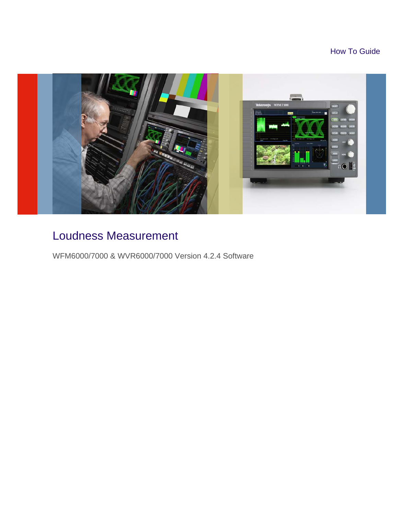How To Guide



# Loudness Measurement

WFM6000/7000 & WVR6000/7000 Version 4.2.4 Software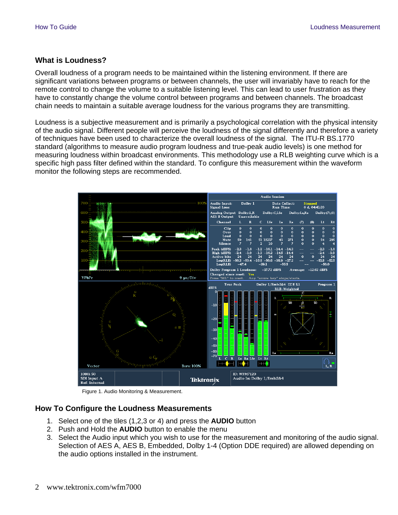### **What is Loudness?**

Overall loudness of a program needs to be maintained within the listening environment. If there are significant variations between programs or between channels, the user will invariably have to reach for the remote control to change the volume to a suitable listening level. This can lead to user frustration as they have to constantly change the volume control between programs and between channels. The broadcast chain needs to maintain a suitable average loudness for the various programs they are transmitting.

Loudness is a subjective measurement and is primarily a psychological correlation with the physical intensity of the audio signal. Different people will perceive the loudness of the signal differently and therefore a variety of techniques have been used to characterize the overall loudness of the signal. The ITU-R BS.1770 standard (algorithms to measure audio program loudness and true-peak audio levels) is one method for measuring loudness within broadcast environments. This methodology use a RLB weighting curve which is a specific high pass filter defined within the standard. To configure this measurement within the waveform monitor the following steps are recommended.



Figure 1. Audio Monitoring & Measurement.

## **How To Configure the Loudness Measurements**

- 1. Select one of the tiles (1,2,3 or 4) and press the **AUDIO** button
- 2. Push and Hold the **AUDIO** button to enable the menu
- 3. Select the Audio input which you wish to use for the measurement and monitoring of the audio signal. Selection of AES A, AES B, Embedded, Dolby 1-4 (Option DDE required) are allowed depending on the audio options installed in the instrument.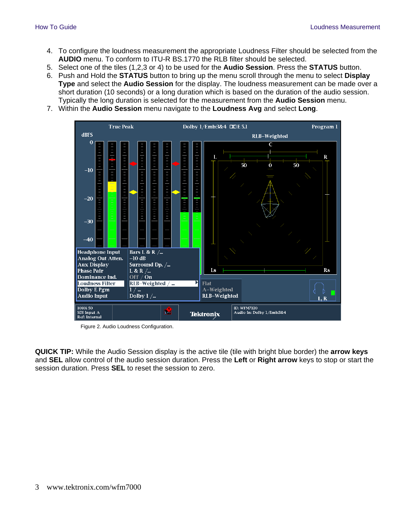- 4. To configure the loudness measurement the appropriate Loudness Filter should be selected from the **AUDIO** menu. To conform to ITU-R BS.1770 the RLB filter should be selected.
- 5. Select one of the tiles (1,2,3 or 4) to be used for the **Audio Session**. Press the **STATUS** button.
- 6. Push and Hold the **STATUS** button to bring up the menu scroll through the menu to select **Display Type** and select the **Audio Session** for the display. The loudness measurement can be made over a short duration (10 seconds) or a long duration which is based on the duration of the audio session. Typically the long duration is selected for the measurement from the **Audio Session** menu.
- 7. Within the **Audio Session** menu navigate to the **Loudness Avg** and select **Long**.



Figure 2. Audio Loudness Configuration.

**QUICK TIP:** While the Audio Session display is the active tile (tile with bright blue border) the **arrow keys** and **SEL** allow control of the audio session duration. Press the **Left** or **Right arrow** keys to stop or start the session duration. Press **SEL** to reset the session to zero.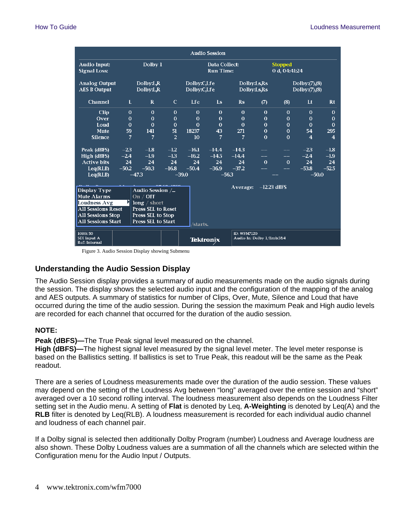| <b>Audio Session</b>                                                                                              |              |                                  |                |                                   |                  |                            |                                          |                                  |                         |                |  |
|-------------------------------------------------------------------------------------------------------------------|--------------|----------------------------------|----------------|-----------------------------------|------------------|----------------------------|------------------------------------------|----------------------------------|-------------------------|----------------|--|
| <b>Audio Input:</b><br><b>Signal Loss:</b>                                                                        |              | Dolby 1                          |                | Data Collect:<br><b>Run Time:</b> |                  |                            |                                          | <b>Stopped</b><br>0 d, 04:41:24  |                         |                |  |
| <b>Analog Output</b><br><b>AES B Output</b>                                                                       |              | Dolby:LR<br>Dolby:L <sub>R</sub> |                | Dolby:C,Lfe<br>Dolby:C,Lfe        |                  | Dolby:Ls,Rs<br>Dolby:Ls,Rs |                                          | Dolly:(7),(8)<br>Dolby: (7), (8) |                         |                |  |
| <b>Channel</b>                                                                                                    | L            | $\mathbf{R}$                     | $\mathbf C$    | Lfe.                              | Ls               | R <sub>S</sub>             | (7)                                      | (8)                              | It                      | $R$ t          |  |
| Clip                                                                                                              | $\mathbf{0}$ | $\theta$                         | $\theta$       | $\mathbf{0}$                      | $\mathbf{0}$     | $\mathbf{0}$               | $\theta$                                 | $\theta$                         | $\theta$                | $\mathbf{0}$   |  |
| Over                                                                                                              | $\Omega$     | $\Omega$                         | $\Omega$       | $\Omega$                          | $\Omega$         | $\Omega$                   | $\Omega$                                 | $\Omega$                         | $\Omega$                | $\Omega$       |  |
| Loud                                                                                                              | $\Omega$     | $\theta$                         | $\Omega$       | $\Omega$                          | $\theta$         | $\theta$                   | $\mathbf 0$                              | $\theta$                         | $\mathbf{0}$            | $\mathbf 0$    |  |
| <b>Mute</b>                                                                                                       | 59           | 141                              | 51             | 18237                             | 43               | 271                        | $\Omega$                                 | $\theta$                         | 54                      | 295            |  |
| <b>Silence</b>                                                                                                    | 7            | 7                                | $\overline{2}$ | 10                                | $\overline{7}$   | 7                          | $\Omega$                                 | $\Omega$                         | $\overline{\mathbf{4}}$ | $\overline{4}$ |  |
| Peak (dBFS)                                                                                                       | $-2.3$       | $-1.8$                           | $-1.2$         | $-16.1$                           | $-14.4$          | $-14.3$                    |                                          |                                  | $-2.3$                  | $-1.8$         |  |
| High (dBFS)                                                                                                       | $-2.4$       | $-1.9$                           | $-1.3$         | $-16.2$                           | $-14.5$          | $-14.4$                    |                                          | $-$                              | $-2.4$                  | $-1.9$         |  |
| <b>Active bits</b>                                                                                                | 24           | 24                               | 24             | 24                                | 24               | 24                         | $\Omega$                                 | $\theta$                         | 24                      | 24             |  |
| Leq(RLB)                                                                                                          | $-50.2$      | $-50.3$                          | $-16.8$        | $-50.4$                           | $-36.9$          | $-37.2$                    |                                          |                                  | $-53.8$                 | $-52.5$        |  |
| Leq(RLB)                                                                                                          |              | $-47.3$                          |                | $-39.0$                           |                  | $-56.3$                    |                                          |                                  |                         | $-50.0$        |  |
| <b>Display Type</b><br>Audio Session /<br><b>Mute Alarms</b><br>On $/$ Off<br><b>Loudness Avg</b><br>long / short |              |                                  |                |                                   | Average:         | $-12.23$ dBFS              |                                          |                                  |                         |                |  |
| <b>All Sessions Reset</b>                                                                                         |              | <b>Press SEL to Reset</b>        |                |                                   |                  |                            |                                          |                                  |                         |                |  |
| <b>All Sessions Stop</b><br>Press SEL to Stop                                                                     |              |                                  |                |                                   |                  |                            |                                          |                                  |                         |                |  |
| <b>All Sessions Start</b>                                                                                         |              | <b>Press SEL to Start</b>        |                | /starts.                          |                  |                            |                                          |                                  |                         |                |  |
| 1080i 50<br>SDI Input A<br><b>Ref: Internal</b>                                                                   |              |                                  |                |                                   | <b>Tektronix</b> |                            | ID: WFM7120<br>Audio In: Dolby 1/Emb:3&4 |                                  |                         |                |  |

Figure 3. Audio Session Display showing Submenu

#### **Understanding the Audio Session Display**

The Audio Session display provides a summary of audio measurements made on the audio signals during the session. The display shows the selected audio input and the configuration of the mapping of the analog and AES outputs. A summary of statistics for number of Clips, Over, Mute, Silence and Loud that have occurred during the time of the audio session. During the session the maximum Peak and High audio levels are recorded for each channel that occurred for the duration of the audio session.

#### **NOTE:**

**Peak (dBFS)—**The True Peak signal level measured on the channel.

**High (dBFS)—**The highest signal level measured by the signal level meter. The level meter response is based on the Ballistics setting. If ballistics is set to True Peak, this readout will be the same as the Peak readout.

There are a series of Loudness measurements made over the duration of the audio session. These values may depend on the setting of the Loudness Avg between "long" averaged over the entire session and "short" averaged over a 10 second rolling interval. The loudness measurement also depends on the Loudness Filter setting set in the Audio menu. A setting of **Flat** is denoted by Leq, **A-Weighting** is denoted by Leq(A) and the **RLB** filter is denoted by Leq(RLB). A loudness measurement is recorded for each individual audio channel and loudness of each channel pair.

If a Dolby signal is selected then additionally Dolby Program (number) Loudness and Average loudness are also shown. These Dolby Loudness values are a summation of all the channels which are selected within the Configuration menu for the Audio Input / Outputs.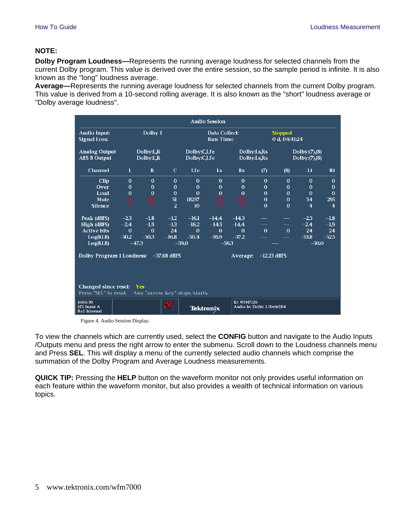#### **NOTE:**

**Dolby Program Loudness—**Represents the running average loudness for selected channels from the current Dolby program. This value is derived over the entire session, so the sample period is infinite. It is also known as the "long" loudness average.

**Average—**Represents the running average loudness for selected channels from the current Dolby program. This value is derived from a 10-second rolling average. It is also known as the "short" loudness average or "Dolby average loudness".

| <b>Audio Session</b>                                        |                                  |              |                |                                   |                  |                            |                                                 |                                  |                |                         |  |
|-------------------------------------------------------------|----------------------------------|--------------|----------------|-----------------------------------|------------------|----------------------------|-------------------------------------------------|----------------------------------|----------------|-------------------------|--|
| <b>Audio Input:</b><br><b>Signal Loss:</b>                  |                                  | Dolby 1      |                | Data Collect:<br><b>Run Time:</b> |                  |                            |                                                 | <b>Stopped</b><br>0 d, 04:41:24  |                |                         |  |
| <b>Analog Output</b><br><b>AES B Output</b>                 | Dolby:LR<br>Dolby:L <sub>R</sub> |              |                | Dolby:C,Lfe<br>Dolby:C,Lfe        |                  | Dolby:Ls,Rs<br>Dolby:Ls,Rs |                                                 | Dolby: (7), (8)<br>Dolly:(7),(8) |                |                         |  |
| <b>Channel</b>                                              | L                                | $\mathbf{R}$ | $\mathbf C$    | Lfe                               | Ls               | $\mathbf{Rs}$              | (7)                                             | (8)                              | Lt             | <b>Rt</b>               |  |
| Clip                                                        | $\Omega$                         | $\Omega$     | $\Omega$       | $\Omega$                          | $\Omega$         | $\Omega$                   | $\Omega$                                        | $\Omega$                         | $\Omega$       | $\Omega$                |  |
| Over                                                        | $\Omega$                         | $\Omega$     | $\mathbf{0}$   | $\theta$                          | $\mathbf{0}$     | $\Omega$                   | $\Omega$                                        | $\mathbf 0$                      | $\bf{0}$       | $\mathbf{0}$            |  |
| Loud                                                        | $\Omega$                         | $\Omega$     | $\mathbf 0$    | $\Omega$                          | $\Omega$         | $\Omega$                   | $\Omega$                                        | $\mathbf 0$                      | $\Omega$       | $\Omega$                |  |
| <b>Mute</b>                                                 | 59                               | 141          | 51             | 18237                             | 43               | 271                        | $\mathbf{0}$                                    | $\mathbf 0$                      | 54             | 295                     |  |
| <b>Silence</b>                                              | $\overline{7}$                   | 7            | $\overline{2}$ | 10                                | $\overline{7}$   | 7                          | $\theta$                                        | $\mathbf 0$                      | $\overline{4}$ | $\overline{\mathbf{4}}$ |  |
| Peak (dBFS)                                                 | $-2.3$                           | $-1.8$       | $-1.2$         | $-16.1$                           | $-14.4$          | $-14.3$                    |                                                 |                                  | $-2.3$         | $-1.8$                  |  |
| High (dBFS)                                                 | $-2.4$                           | $-1.9$       | $-1.3$         | $-16.2$                           | $-14.5$          | $-14.4$                    |                                                 | --                               | $-2.4$         | $-1.9$                  |  |
| <b>Active bits</b>                                          | $\Omega$                         | $\mathbf 0$  | 24             | $\theta$                          | $\mathbf 0$      | $\Omega$                   | $\theta$                                        | $\mathbf{0}$                     | 24             | 24                      |  |
| Leq(RLB)                                                    | $-50.2$                          | $-50.3$      | $-16.8$        | $-50.4$                           | $-36.9$          | $-37.2$                    |                                                 |                                  | $-53.8$        | $-52.5$                 |  |
| Leq(RLB)                                                    | $-473$                           |              |                | $-39.0$                           | $-56.3$          |                            |                                                 |                                  | $-50.0$        |                         |  |
| Dolby Program 1 Loudness:                                   |                                  |              | $-37.68$ dBFS  |                                   |                  | Average:                   | $-12.23$ dBFS                                   |                                  |                |                         |  |
|                                                             |                                  |              |                |                                   |                  |                            |                                                 |                                  |                |                         |  |
| <b>Changed since reset:</b><br>Press "SEL" to reset.        |                                  | <b>Yes</b>   |                | Any "arrow key" stops/starts.     |                  |                            |                                                 |                                  |                |                         |  |
| 1080i 50<br><b>R</b><br>SDI Input A<br><b>Ref: Internal</b> |                                  |              |                |                                   | <b>Tektronix</b> |                            | <b>ID: WFM7120</b><br>Audio In: Dolby 1/Emb:3&4 |                                  |                |                         |  |

Figure 4. Audio Session Display.

To view the channels which are currently used, select the **CONFIG** button and navigate to the Audio Inputs /Outputs menu and press the right arrow to enter the submenu. Scroll down to the Loudness channels menu and Press **SEL**. This will display a menu of the currently selected audio channels which comprise the summation of the Dolby Program and Average Loudness measurements.

**QUICK TIP:** Pressing the **HELP** button on the waveform monitor not only provides useful information on each feature within the waveform monitor, but also provides a wealth of technical information on various topics.